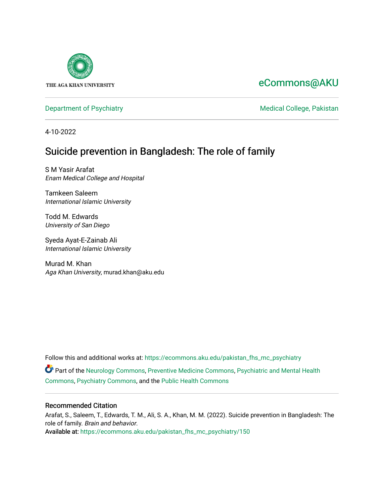

## [eCommons@AKU](https://ecommons.aku.edu/)

[Department of Psychiatry](https://ecommons.aku.edu/pakistan_fhs_mc_psychiatry) **Medical College, Pakistan** 

4-10-2022

## Suicide prevention in Bangladesh: The role of family

S M Yasir Arafat Enam Medical College and Hospital

Tamkeen Saleem International Islamic University

Todd M. Edwards University of San Diego

Syeda Ayat-E-Zainab Ali International Islamic University

Murad M. Khan Aga Khan University, murad.khan@aku.edu

Follow this and additional works at: [https://ecommons.aku.edu/pakistan\\_fhs\\_mc\\_psychiatry](https://ecommons.aku.edu/pakistan_fhs_mc_psychiatry?utm_source=ecommons.aku.edu%2Fpakistan_fhs_mc_psychiatry%2F150&utm_medium=PDF&utm_campaign=PDFCoverPages)

Part of the [Neurology Commons](https://network.bepress.com/hgg/discipline/692?utm_source=ecommons.aku.edu%2Fpakistan_fhs_mc_psychiatry%2F150&utm_medium=PDF&utm_campaign=PDFCoverPages), [Preventive Medicine Commons,](https://network.bepress.com/hgg/discipline/703?utm_source=ecommons.aku.edu%2Fpakistan_fhs_mc_psychiatry%2F150&utm_medium=PDF&utm_campaign=PDFCoverPages) [Psychiatric and Mental Health](https://network.bepress.com/hgg/discipline/711?utm_source=ecommons.aku.edu%2Fpakistan_fhs_mc_psychiatry%2F150&utm_medium=PDF&utm_campaign=PDFCoverPages)  [Commons](https://network.bepress.com/hgg/discipline/711?utm_source=ecommons.aku.edu%2Fpakistan_fhs_mc_psychiatry%2F150&utm_medium=PDF&utm_campaign=PDFCoverPages), [Psychiatry Commons](https://network.bepress.com/hgg/discipline/704?utm_source=ecommons.aku.edu%2Fpakistan_fhs_mc_psychiatry%2F150&utm_medium=PDF&utm_campaign=PDFCoverPages), and the [Public Health Commons](https://network.bepress.com/hgg/discipline/738?utm_source=ecommons.aku.edu%2Fpakistan_fhs_mc_psychiatry%2F150&utm_medium=PDF&utm_campaign=PDFCoverPages) 

### Recommended Citation

Arafat, S., Saleem, T., Edwards, T. M., Ali, S. A., Khan, M. M. (2022). Suicide prevention in Bangladesh: The role of family. Brain and behavior.

Available at: [https://ecommons.aku.edu/pakistan\\_fhs\\_mc\\_psychiatry/150](https://ecommons.aku.edu/pakistan_fhs_mc_psychiatry/150)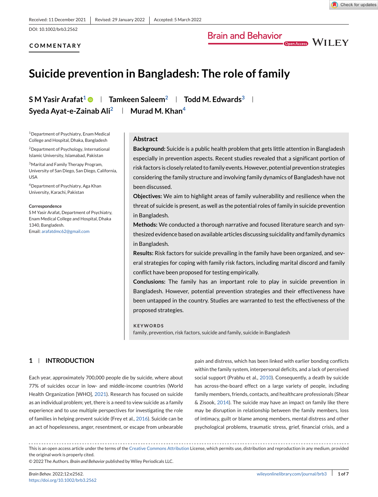

DOI: 10.1002/brb3.2562

#### **COMMENTARY**

# Brain and Behavior<br>
<sub>Open Access</sub> WILEY

## **Suicide prevention in Bangladesh: The role of family**

**S M Yasir Arafat<sup>1</sup> • Tamkeen Saleem<sup>2</sup> Fodd M. Edwards<sup>3</sup> Syeda Ayat-e-Zainab Ali<sup>2</sup> | Murad M. Khan<sup>4</sup>** 

1Department of Psychiatry, Enam Medical College and Hospital, Dhaka, Bangladesh

2Department of Psychology, International Islamic University, Islamabad, Pakistan

3Marital and Family Therapy Program, University of San Diego, San Diego, California, USA

4Department of Psychiatry, Aga Khan University, Karachi, Pakistan

#### **Correspondence**

S M Yasir Arafat, Department of Psychiatry, Enam Medical College and Hospital, Dhaka 1340, Bangladesh.

Email: [arafatdmc62@gmail.com](mailto:arafatdmc62@gmail.com)

#### **Abstract**

**Background:** Suicide is a public health problem that gets little attention in Bangladesh especially in prevention aspects. Recent studies revealed that a significant portion of risk factors is closely related to family events. However, potential prevention strategies considering the family structure and involving family dynamics of Bangladesh have not been discussed.

**Objectives:** We aim to highlight areas of family vulnerability and resilience when the threat of suicide is present, as well as the potential roles of family in suicide prevention in Bangladesh.

**Methods:** We conducted a thorough narrative and focused literature search and synthesized evidence based on available articles discussing suicidality and family dynamics in Bangladesh.

**Results:** Risk factors for suicide prevailing in the family have been organized, and several strategies for coping with family risk factors, including marital discord and family conflict have been proposed for testing empirically.

**Conclusions:** The family has an important role to play in suicide prevention in Bangladesh. However, potential prevention strategies and their effectiveness have been untapped in the country. Studies are warranted to test the effectiveness of the proposed strategies.

#### **KEYWORDS**

family, prevention, risk factors, suicide and family, suicide in Bangladesh

#### **1 INTRODUCTION**

Each year, approximately 700,000 people die by suicide, where about 77% of suicides occur in low- and middle-income countries (World Health Organization [WHO], [2021\)](#page-7-0). Research has focused on suicide as an individual problem; yet, there is a need to view suicide as a family experience and to use multiple perspectives for investigating the role of families in helping prevent suicide (Frey et al., [2016\)](#page-7-0). Suicide can be an act of hopelessness, anger, resentment, or escape from unbearable

pain and distress, which has been linked with earlier bonding conflicts within the family system, interpersonal deficits, and a lack of perceived social support (Prabhu et al., [2010\)](#page-7-0). Consequently, a death by suicide has across-the-board effect on a large variety of people, including family members, friends, contacts, and healthcare professionals (Shear & Zisook, [2014\)](#page-7-0). The suicide may have an impact on family like there may be disruption in relationship between the family members, loss of intimacy, guilt or blame among members, mental distress and other psychological problems, traumatic stress, grief, financial crisis, and a

This is an open access article under the terms of the [Creative Commons Attribution](http://creativecommons.org/licenses/by/4.0/) License, which permits use, distribution and reproduction in any medium, provided the original work is properly cited.

© 2022 The Authors. *Brain and Behavior* published by Wiley Periodicals LLC.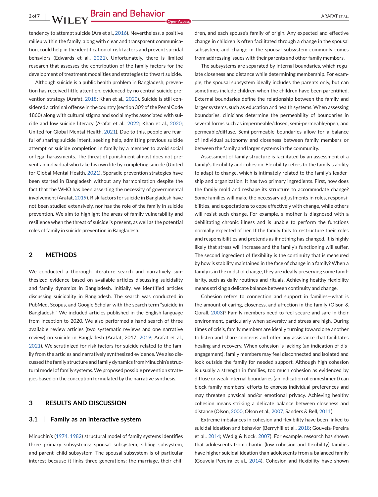tendency to attempt suicide (Ara et al., [2016\)](#page-6-0). Nevertheless, a positive milieu within the family, along with clear and transparent communica-

tion, could help in the identification of risk factors and prevent suicidal behaviors (Edwards et al., [2021\)](#page-7-0). Unfortunately, there is limited research that assesses the contribution of the family factors for the development of treatment modalities and strategies to thwart suicide.

Although suicide is a public health problem in Bangladesh, prevention has received little attention, evidenced by no central suicide prevention strategy (Arafat, [2018;](#page-6-0) Khan et al., [2020\)](#page-7-0). Suicide is still considered a criminal offense in the country (section 309 of the Penal Code 1860) along with cultural stigma and social myths associated with suicide and low suicide literacy (Arafat et al., [2022;](#page-6-0) Khan et al., [2020;](#page-7-0) United for Global Mental Health, [2021\)](#page-7-0). Due to this, people are fearful of sharing suicide intent, seeking help, admitting previous suicide attempt or suicide completion in family by a member to avoid social or legal harassments. The threat of punishment almost does not prevent an individual who take his own life by completing suicide (United for Global Mental Health, [2021\)](#page-7-0). Sporadic prevention strategies have been started in Bangladesh without any harmonization despite the fact that the WHO has been asserting the necessity of governmental involvement (Arafat, [2019\)](#page-6-0). Risk factors for suicide in Bangladesh have not been studied extensively, nor has the role of the family in suicide prevention. We aim to highlight the areas of family vulnerability and resilience when the threat of suicide is present, as well as the potential roles of family in suicide prevention in Bangladesh.

#### **2 METHODS**

We conducted a thorough literature search and narratively synthesized evidence based on available articles discussing suicidality and family dynamics in Bangladesh. Initially, we identified articles discussing suicidality in Bangladesh. The search was conducted in PubMed, Scopus, and Google Scholar with the search term "suicide in Bangladesh." We included articles published in the English language from inception to 2020. We also performed a hand search of three available review articles (two systematic reviews and one narrative review) on suicide in Bangladesh (Arafat, 2017, [2019;](#page-6-0) Arafat et al., [2021\)](#page-6-0). We scrutinized for risk factors for suicide related to the family from the articles and narratively synthesized evidence. We also discussed the family structure and family dynamics from Minuchin's structural model of family systems.We proposed possible prevention strategies based on the conception formulated by the narrative synthesis.

#### **3 RESULTS AND DISCUSSION**

#### **3.1 Family as an interactive system**

Minuchin's [\(1974,](#page-7-0) [1982\)](#page-7-0) structural model of family systems identifies three primary subsystems: spousal subsystem, sibling subsystem, and parent–child subsystem. The spousal subsystem is of particular interest because it links three generations: the marriage, their children, and each spouse's family of origin. Any expected and effective change in children is often facilitated through a change in the spousal subsystem, and change in the spousal subsystem commonly comes from addressing issues with their parents and other family members.

The subsystems are separated by internal boundaries, which regulate closeness and distance while determining membership. For example, the spousal subsystem ideally includes the parents only, but can sometimes include children when the children have been parentified. External boundaries define the relationship between the family and larger systems, such as education and health systems. When assessing boundaries, clinicians determine the permeability of boundaries in several forms such as impermeable/closed, semi-permeable/open, and permeable/diffuse. Semi-permeable boundaries allow for a balance of individual autonomy and closeness between family members or between the family and larger systems in the community.

Assessment of family structure is facilitated by an assessment of a family's flexibility and cohesion. Flexibility refers to the family's ability to adapt to change, which is intimately related to the family's leadership and organization. It has two primary ingredients. First, how does the family mold and reshape its structure to accommodate change? Some families will make the necessary adjustments in roles, responsibilities, and expectations to cope effectively with change, while others will resist such change. For example, a mother is diagnosed with a debilitating chronic illness and is unable to perform the functions normally expected of her. If the family fails to restructure their roles and responsibilities and pretends as if nothing has changed, it is highly likely that stress will increase and the family's functioning will suffer. The second ingredient of flexibility is the continuity that is measured by how is stability maintained in the face of change in a family? When a family is in the midst of change, they are ideally preserving some familiarity, such as daily routines and rituals. Achieving healthy flexibility means striking a delicate balance between continuity and change.

Cohesion refers to connection and support in families—what is the amount of caring, closeness, and affection in the family (Olson & Gorall, [2003\)](#page-7-0)? Family members need to feel secure and safe in their environment, particularly when adversity and stress are high. During times of crisis, family members are ideally turning toward one another to listen and share concerns and offer any assistance that facilitates healing and recovery. When cohesion is lacking (an indication of disengagement), family members may feel disconnected and isolated and look outside the family for needed support. Although high cohesion is usually a strength in families, too much cohesion as evidenced by diffuse or weak internal boundaries (an indication of enmeshment) can block family members' efforts to express individual preferences and may threaten physical and/or emotional privacy. Achieving healthy cohesion means striking a delicate balance between closeness and distance (Olson, [2000;](#page-7-0) Olson et al., [2007;](#page-7-0) Sanders & Bell, [2011\)](#page-7-0).

Extreme imbalances in cohesion and flexibility have been linked to suicidal ideation and behavior (Berryhill et al., [2018;](#page-6-0) Gouveia-Pereira et al., [2014;](#page-7-0) Wedig & Nock, [2007\)](#page-7-0). For example, research has shown that adolescents from chaotic (low cohesion and flexibility) families have higher suicidal ideation than adolescents from a balanced family (Gouveia-Pereira et al., [2014\)](#page-7-0). Cohesion and flexibility have shown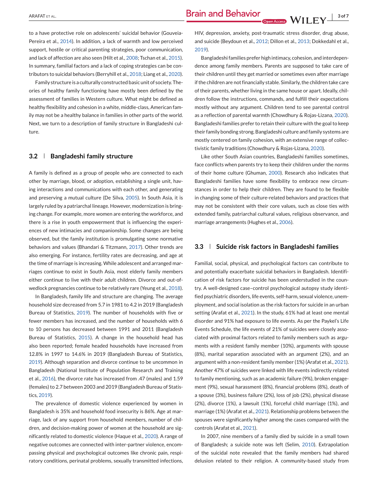to a have protective role on adolescents' suicidal behavior (Gouveia-Pereira et al., [2014\)](#page-7-0). In addition, a lack of warmth and low perceived support, hostile or critical parenting strategies, poor communication, and lack of affection are also seen (Hilt et al., [2008;](#page-7-0) Tschan et al., [2015\)](#page-7-0). In summary, familial factors and a lack of coping strategies can be contributors to suicidal behaviors (Berryhill et al., [2018;](#page-6-0) Liang et al., [2020\)](#page-7-0).

Family structure is a culturally constructed basic unit of society. Theories of healthy family functioning have mostly been defined by the assessment of families in Western culture. What might be defined as healthy flexibility and cohesion in a white, middle-class, American family may not be a healthy balance in families in other parts of the world. Next, we turn to a description of family structure in Bangladeshi culture.

#### **3.2 Bangladeshi family structure**

A family is defined as a group of people who are connected to each other by marriage, blood, or adoption, establishing a single unit, having interactions and communications with each other, and generating and preserving a mutual culture (De Silva, [2005\)](#page-6-0). In South Asia, it is largely ruled by a patriarchal lineage. However, modernization is bringing change. For example, more women are entering the workforce, and there is a rise in youth empowerment that is influencing the experiences of new intimacies and companionship. Some changes are being observed, but the family institution is promulgating some normative behaviors and values (Bhandari & Titzmann, [2017\)](#page-6-0). Other trends are also emerging. For instance, fertility rates are decreasing, and age at the time of marriage is increasing. While adolescent and arranged marriages continue to exist in South Asia, most elderly family members either continue to live with their adult children. Divorce and out-ofwedlock pregnancies continue to be relatively rare (Yeung et al., [2018\)](#page-7-0).

In Bangladesh, family life and structure are changing. The average household size decreased from 5.7 in 1981 to 4.2 in 2019 (Bangladesh Bureau of Statistics, [2019\)](#page-6-0). The number of households with five or fewer members has increased, and the number of households with 6 to 10 persons has decreased between 1991 and 2011 (Bangladesh Bureau of Statistics, [2015\)](#page-6-0). A change in the household head has also been reported; female headed households have increased from 12.8% in 1997 to 14.6% in 2019 (Bangladesh Bureau of Statistics, [2019\)](#page-6-0). Although separation and divorce continue to be uncommon in Bangladesh (National Institute of Population Research and Training et al., [2016\)](#page-7-0), the divorce rate has increased from .47 (males) and 1.59 (females) to 2.7 between 2003 and 2019 (Bangladesh Bureau of Statistics, [2019\)](#page-6-0).

The prevalence of domestic violence experienced by women in Bangladesh is 35% and household food insecurity is 86%. Age at marriage, lack of any support from household members, number of children, and decision-making power of women at the household are significantly related to domestic violence (Haque et al., [2020\)](#page-7-0). A range of negative outcomes are connected with inter-partner violence, encompassing physical and psychological outcomes like chronic pain, respiratory conditions, perinatal problems, sexually transmitted infections,

HIV, depression, anxiety, post-traumatic stress disorder, drug abuse, and suicide (Beydoun et al., [2012;](#page-6-0) Dillon et al., [2013;](#page-6-0) Dokkedahl et al., [2019\)](#page-7-0).

Bangladeshi families prefer high intimacy, cohesion, and interdependence among family members. Parents are supposed to take care of their children until they get married or sometimes even after marriage if the children are not financially stable. Similarly, the children take care of their parents, whether living in the same house or apart. Ideally, children follow the instructions, commands, and fulfill their expectations mostly without any argument. Children tend to see parental control as a reflection of parental warmth (Chowdhury & Rojas-Lizana, [2020\)](#page-6-0). Bangladeshi families prefer to retain their culture with the goal to keep their family bonding strong. Bangladeshi culture and family systems are mostly centered on family cohesion, with an extensive range of collectivistic family traditions (Chowdhury & Rojas-Lizana, [2020\)](#page-6-0).

Like other South Asian countries, Bangladeshi families sometimes, face conflicts when parents try to keep their children under the norms of their home culture (Ghuman, [2000\)](#page-7-0). Research also indicates that Bangladeshi families have some flexibility to embrace new circumstances in order to help their children. They are found to be flexible in changing some of their culture-related behaviors and practices that may not be consistent with their core values, such as close ties with extended family, patriarchal cultural values, religious observance, and marriage arrangements (Hughes et al., [2006\)](#page-7-0).

#### **3.3 Suicide risk factors in Bangladeshi families**

Familial, social, physical, and psychological factors can contribute to and potentially exacerbate suicidal behaviors in Bangladesh. Identification of risk factors for suicide has been understudied in the country. A well-designed case–control psychological autopsy study identified psychiatric disorders, life events, self-harm, sexual violence, unemployment, and social isolation as the risk factors for suicide in an urban setting (Arafat et al., [2021\)](#page-6-0). In the study, 61% had at least one mental disorder and 91% had exposure to life events. As per the Paykel's Life Events Schedule, the life events of 21% of suicides were closely associated with proximal factors related to family members such as arguments with a resident family member (10%), arguments with spouse (8%), marital separation associated with an argument (2%), and an argument with a non-resident family member (1%) (Arafat et al., [2021\)](#page-6-0). Another 47% of suicides were linked with life events indirectly related to family mentioning, such as an academic failure (9%), broken engagement (9%), sexual harassment (8%), financial problems (8%), death of a spouse (3%), business failure (2%), loss of job (2%), physical disease (2%), divorce (1%), a lawsuit (1%), forceful child marriage (1%), and marriage (1%) (Arafat et al., [2021\)](#page-6-0). Relationship problems between the spouses were significantly higher among the cases compared with the controls (Arafat et al., [2021\)](#page-6-0).

In 2007, nine members of a family died by suicide in a small town of Bangladesh; a suicide note was left (Selim, [2010\)](#page-7-0). Extrapolation of the suicidal note revealed that the family members had shared delusion related to their religion. A community-based study from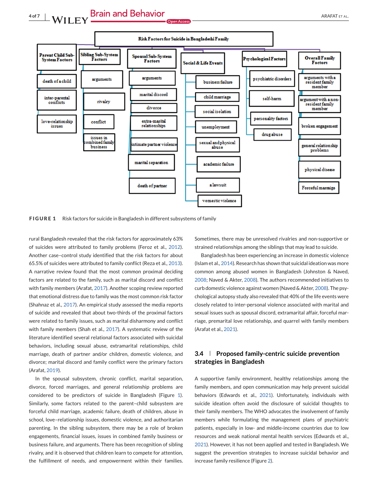

**FIGURE 1** Risk factors for suicide in Bangladesh in different subsystems of family

rural Bangladesh revealed that the risk factors for approximately 63% of suicides were attributed to family problems (Feroz et al., [2012\)](#page-7-0). Another case–control study identified that the risk factors for about 65.5% of suicides were attributed to family conflict (Reza et al., [2013\)](#page-7-0). A narrative review found that the most common proximal deciding factors are related to the family, such as marital discord and conflict with family members (Arafat, [2017\)](#page-6-0). Another scoping review reported that emotional distress due to family was the most common risk factor (Shahnaz et al., [2017\)](#page-7-0). An empirical study assessed the media reports of suicide and revealed that about two-thirds of the proximal factors were related to family issues, such as marital disharmony and conflict with family members (Shah et al., [2017\)](#page-7-0). A systematic review of the literature identified several relational factors associated with suicidal behaviors, including sexual abuse, extramarital relationships, child marriage, death of partner and/or children, domestic violence, and divorce; marital discord and family conflict were the primary factors (Arafat, [2019\)](#page-6-0).

In the spousal subsystem, chronic conflict, marital separation, divorce, forced marriages, and general relationship problems are considered to be predictors of suicide in Bangladesh (Figure 1). Similarly, some factors related to the parent–child subsystem are forceful child marriage, academic failure, death of children, abuse in school, love–relationship issues, domestic violence, and authoritarian parenting. In the sibling subsystem, there may be a role of broken engagements, financial issues, issues in combined family business or business failure, and arguments. There has been recognition of sibling rivalry, and it is observed that children learn to compete for attention, the fulfillment of needs, and empowerment within their families.

Sometimes, there may be unresolved rivalries and non-supportive or strained relationships among the siblings that may lead to suicide.

Bangladesh has been experiencing an increase in domestic violence (Islam et al., [2014\)](#page-7-0). Research has shown that suicidal ideation was more common among abused women in Bangladesh (Johnston & Naved, [2008;](#page-7-0) Naved & Akter, [2008\)](#page-7-0). The authors recommended initiatives to curb domestic violence against women (Naved & Akter, [2008\)](#page-7-0). The psychological autopsy study also revealed that 40% of the life events were closely related to inter-personal violence associated with marital and sexual issues such as spousal discord, extramarital affair, forceful marriage, premarital love relationship, and quarrel with family members (Arafat et al., [2021\)](#page-6-0).

#### **3.4 Proposed family-centric suicide prevention strategies in Bangladesh**

A supportive family environment, healthy relationships among the family members, and open communication may help prevent suicidal behaviors (Edwards et al., [2021\)](#page-7-0). Unfortunately, individuals with suicide ideation often avoid the disclosure of suicidal thoughts to their family members. The WHO advocates the involvement of family members while formulating the management plans of psychiatric patients, especially in low- and middle-income countries due to low resources and weak national mental health services (Edwards et al., [2021\)](#page-7-0). However, it has not been applied and tested in Bangladesh. We suggest the prevention strategies to increase suicidal behavior and increase family resilience (Figure [2\)](#page-5-0).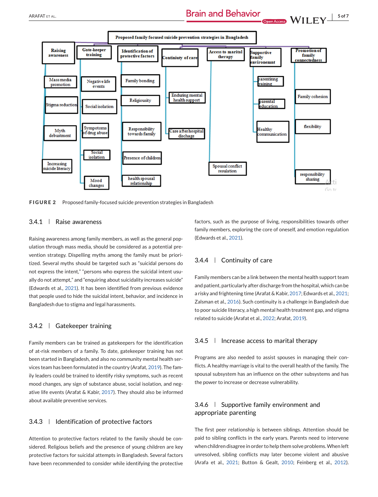<span id="page-5-0"></span>

**FIGURE 2** Proposed family-focused suicide prevention strategies in Bangladesh

#### 3.4.1 Raise awareness

Raising awareness among family members, as well as the general population through mass media, should be considered as a potential prevention strategy. Dispelling myths among the family must be prioritized. Several myths should be targeted such as "suicidal persons do not express the intent," "persons who express the suicidal intent usually do not attempt," and "enquiring about suicidality increases suicide" (Edwards et al., [2021\)](#page-7-0). It has been identified from previous evidence that people used to hide the suicidal intent, behavior, and incidence in Bangladesh due to stigma and legal harassments.

#### 3.4.2 Gatekeeper training

Family members can be trained as gatekeepers for the identification of at-risk members of a family. To date, gatekeeper training has not been started in Bangladesh, and also no community mental health services team has been formulated in the country (Arafat, [2019\)](#page-6-0). The family leaders could be trained to identify risky symptoms, such as recent mood changes, any sign of substance abuse, social isolation, and negative life events (Arafat & Kabir, [2017\)](#page-6-0). They should also be informed about available preventive services.

#### 3.4.3 | Identification of protective factors

Attention to protective factors related to the family should be considered. Religious beliefs and the presence of young children are key protective factors for suicidal attempts in Bangladesh. Several factors have been recommended to consider while identifying the protective

factors, such as the purpose of living, responsibilities towards other family members, exploring the core of oneself, and emotion regulation (Edwards et al., [2021\)](#page-7-0).

#### 3.4.4 Continuity of care

Family members can be a link between the mental health support team and patient, particularly after discharge from the hospital, which can be a risky and frightening time (Arafat & Kabir, [2017;](#page-6-0) Edwards et al., [2021;](#page-7-0) Zalsman et al., [2016\)](#page-7-0). Such continuity is a challenge in Bangladesh due to poor suicide literacy, a high mental health treatment gap, and stigma related to suicide (Arafat et al., [2022;](#page-6-0) Arafat, [2019\)](#page-6-0).

#### $3.4.5$  | Increase access to marital therapy

Programs are also needed to assist spouses in managing their conflicts. A healthy marriage is vital to the overall health of the family. The spousal subsystem has an influence on the other subsystems and has the power to increase or decrease vulnerability.

#### 3.4.6 Supportive family environment and appropriate parenting

The first peer relationship is between siblings. Attention should be paid to sibling conflicts in the early years. Parents need to intervene when children disagree in order to help them solve problems.When left unresolved, sibling conflicts may later become violent and abusive (Arafa et al., [2021;](#page-6-0) Button & Gealt, [2010;](#page-6-0) Feinberg et al., [2012\)](#page-7-0).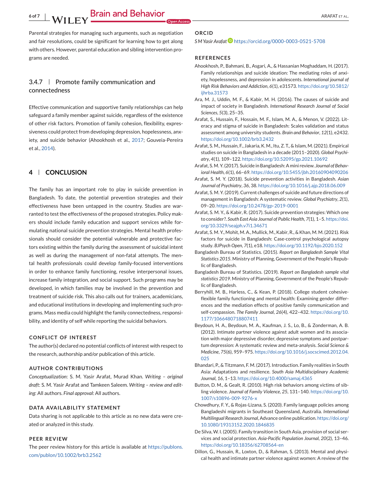**6 Of 78 Of 78 ARAFAT ET AL. 6 Of 78 ARAFAT ET AL.** 

<span id="page-6-0"></span>Parental strategies for managing such arguments, such as negotiation and fair resolutions, could be significant for learning how to get along with others. However, parental education and sibling intervention programs are needed.

#### $3.4.7$  | Promote family communication and connectedness

Effective communication and supportive family relationships can help safeguard a family member against suicide, regardless of the existence of other risk factors. Promotion of family cohesion, flexibility, expressiveness could protect from developing depression, hopelessness, anxiety, and suicide behavior (Ahookhosh et al., 2017; Gouveia-Pereira et al., [2014\)](#page-7-0).

#### **4 CONCLUSION**

The family has an important role to play in suicide prevention in Bangladesh. To date, the potential prevention strategies and their effectiveness have been untapped in the country. Studies are warranted to test the effectiveness of the proposed strategies. Policy makers should include family education and support services while formulating national suicide prevention strategies. Mental health professionals should consider the potential vulnerable and protective factors existing within the family during the assessment of suicidal intent as well as during the management of non-fatal attempts. The mental health professionals could develop family-focused interventions in order to enhance family functioning, resolve interpersonal issues, increase family integration, and social support. Such programs may be developed, in which families may be involved in the prevention and treatment of suicide risk. This also calls out for trainers, academicians, and educational institutions in developing and implementing such programs. Mass media could highlight the family connectedness, responsibility, and identity of self while reporting the suicidal behaviors.

#### **CONFLICT OF INTEREST**

The author(s) declared no potential conflicts of interest with respect to the research, authorship and/or publication of this article.

#### **AUTHOR CONTRIBUTIONS**

*Conceptualization*: S. M. Yasir Arafat, Murad Khan. *Writing – original draft*: S. M. Yasir Arafat and Tamkeen Saleem. *Writing – review and editing*: All authors. *Final approval*: All authors.

#### **DATA AVAILABILITY STATEMENT**

Data sharing is not applicable to this article as no new data were created or analyzed in this study.

#### **PEER REVIEW**

The peer review history for this article is available at [https://publons.](https://publons.com/publon/10.1002/brb3.2562) [com/publon/10.1002/brb3.2562](https://publons.com/publon/10.1002/brb3.2562)

#### **ORCID**

#### *S M Yasir Arafat* <https://orcid.org/0000-0003-0521-5708>

#### **REFERENCES**

- Ahookhosh, P., Bahmani, B., Asgari, A., & Hassanian Moghaddam, H. (2017). Family relationships and suicide ideation: The mediating roles of anxiety, hopelessness, and depression in adolescents. *International journal of High Risk Behaviors and Addiction*, *6*(1), e31573. [https://doi.org/10.5812/](https://doi.org/10.5812/ijhrba.31573) [ijhrba.31573](https://doi.org/10.5812/ijhrba.31573)
- Ara, M. J., Uddin, M. F., & Kabir, M. H. (2016). The causes of suicide and impact of society in Bangladesh. *International Research Journal of Social Sciences*, *5*(3), 25–35.
- Arafat, S., Hussain, F., Hossain, M. F., Islam, M. A., & Menon, V. (2022). Literacy and stigma of suicide in Bangladesh: Scales validation and status assessment among university students. *Brain and Behavior*, *12*(1), e2432. <https://doi.org/10.1002/brb3.2432>
- Arafat, S. M., Hussain, F., Jakaria, K. M., Itu, Z. T., & Islam, M. (2021). Empirical studies on suicide in Bangladesh in a decade (2011–2020). *Global Psychiatry*, *4*(1), 109–122. <https://doi.org/10.52095/gp.2021.10692>
- Arafat, S.M. Y. (2017). Suicide in Bangladesh: A mini review. *Journal of Behavioral Health*, *6*(1), 66–69. <https://doi.org/10.5455/jbh.20160904090206>
- Arafat, S. M. Y. (2018). Suicide prevention activities in Bangladesh. *Asian Journal of Psychiatry*, *36*, 38. <https://doi.org/10.1016/j.ajp.2018.06.009>
- Arafat, S. M. Y. (2019). Current challenges of suicide and future directions of management in Bangladesh: A systematic review. *Global Psychiatry*, *2*(1), 09–20. <https://doi.org/10.2478/gp-2019-0001>
- Arafat, S. M. Y., & Kabir, R. (2017). Suicide prevention strategies: Which one to consider?. *South East Asia Journal of Public Health*, *7*(1), 1–5. [https://doi.](https://doi.org/10.3329/seajph.v7i1.34671) [org/10.3329/seajph.v7i1.34671](https://doi.org/10.3329/seajph.v7i1.34671)
- Arafat, S. M. Y., Mohit, M. A., Mullick, M., Kabir, R., & Khan, M. M. (2021). Risk factors for suicide in Bangladesh: Case-control psychological autopsy study. *BJPsych Open*, *7*(1), e18. <https://doi.org/10.1192/bjo.2020.152>
- Bangladesh Bureau of Statistics. (2015). *Report on Bangladesh Sample Vital Statistics 2015*. Ministry of Planning, Government of the People's Republic of Bangladesh.
- Bangladesh Bureau of Statistics. (2019). *Report on Bangladesh sample vital statistics 2019*. Ministry of Planning, Government of the People's Republic of Bangladesh.
- Berryhill, M. B., Harless, C., & Kean, P. (2018). College student cohesiveflexible family functioning and mental health: Examining gender differences and the mediation effects of positive family communication and self-compassion. *The Family Journal*, *26*(4), 422–432. [https://doi.org/10.](https://doi.org/10.1177/1066480718807411) [1177/1066480718807411](https://doi.org/10.1177/1066480718807411)
- Beydoun, H. A., Beydoun, M. A., Kaufman, J. S., Lo, B., & Zonderman, A. B. (2012). Intimate partner violence against adult women and its association with major depressive disorder, depressive symptoms and postpartum depression: A systematic review and meta-analysis. *Social Science & Medicine*, *75*(6), 959–975. [https://doi.org/10.1016/j.socscimed.2012.04.](https://doi.org/10.1016/j.socscimed.2012.04.025) [025](https://doi.org/10.1016/j.socscimed.2012.04.025)
- Bhandari, P., & Titzmann, F. M. (2017). Introduction. Family realities in South Asia: Adaptations and resilience. *South Asia Multidisciplinary Academic Journal*, *16*, 1–13. <https://doi.org/10.4000/samaj.4365>
- Button, D. M., & Gealt, R. (2010). High risk behaviors among victims of sibling violence. *Journal of Family Violence*, *25*, 131–140. [https://doi.org/10.](https://doi.org/10.1007/s10896-009-9276-x) [1007/s10896-009-9276-x](https://doi.org/10.1007/s10896-009-9276-x)
- Chowdhury, F. Y., & Rojas-Lizana, S. (2020). Family language policies among Bangladeshi migrants in Southeast Queensland, Australia. *International Multilingual Research Journal*, Advance online publication. [https://doi.org/](https://doi.org/10.1080/19313152.2020.1846835) [10.1080/19313152.2020.1846835](https://doi.org/10.1080/19313152.2020.1846835)
- De Silva, W. I. (2005). Family transition in South Asia, provision of social services and social protection. *Asia-Pacific Population Journal*, *20*(2), 13–46. <https://doi.org/10.18356/62708564-en>
- Dillon, G., Hussain, R., Loxton, D., & Rahman, S. (2013). Mental and physical health and intimate partner violence against women: A review of the